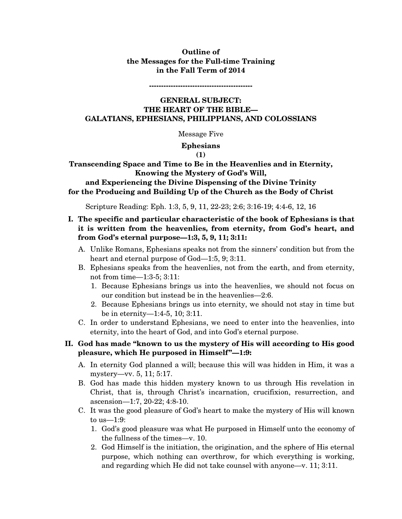# **Outline of the Messages for the Full-time Training in the Fall Term of 2014**

**-------------------------------------------** 

# **GENERAL SUBJECT: THE HEART OF THE BIBLE— GALATIANS, EPHESIANS, PHILIPPIANS, AND COLOSSIANS**

Message Five

#### **Ephesians**

**(1)** 

**Transcending Space and Time to Be in the Heavenlies and in Eternity, Knowing the Mystery of God's Will,** 

# **and Experiencing the Divine Dispensing of the Divine Trinity for the Producing and Building Up of the Church as the Body of Christ**

Scripture Reading: Eph. 1:3, 5, 9, 11, 22-23; 2:6; 3:16-19; 4:4-6, 12, 16

# **I. The specific and particular characteristic of the book of Ephesians is that it is written from the heavenlies, from eternity, from God's heart, and from God's eternal purpose—1:3, 5, 9, 11; 3:11:**

- A. Unlike Romans, Ephesians speaks not from the sinners' condition but from the heart and eternal purpose of God—1:5, 9; 3:11.
- B. Ephesians speaks from the heavenlies, not from the earth, and from eternity, not from time—1:3-5; 3:11:
	- 1. Because Ephesians brings us into the heavenlies, we should not focus on our condition but instead be in the heavenlies—2:6.
	- 2. Because Ephesians brings us into eternity, we should not stay in time but be in eternity—1:4-5, 10; 3:11.
- C. In order to understand Ephesians, we need to enter into the heavenlies, into eternity, into the heart of God, and into God's eternal purpose.

# **II. God has made "known to us the mystery of His will according to His good pleasure, which He purposed in Himself"—1:9:**

- A. In eternity God planned a will; because this will was hidden in Him, it was a mystery—vv. 5, 11; 5:17.
- B. God has made this hidden mystery known to us through His revelation in Christ, that is, through Christ's incarnation, crucifixion, resurrection, and ascension—1:7, 20-22; 4:8-10.
- C. It was the good pleasure of God's heart to make the mystery of His will known to us—1:9:
	- 1. God's good pleasure was what He purposed in Himself unto the economy of the fullness of the times—v. 10.
	- 2. God Himself is the initiation, the origination, and the sphere of His eternal purpose, which nothing can overthrow, for which everything is working, and regarding which He did not take counsel with anyone—v. 11; 3:11.